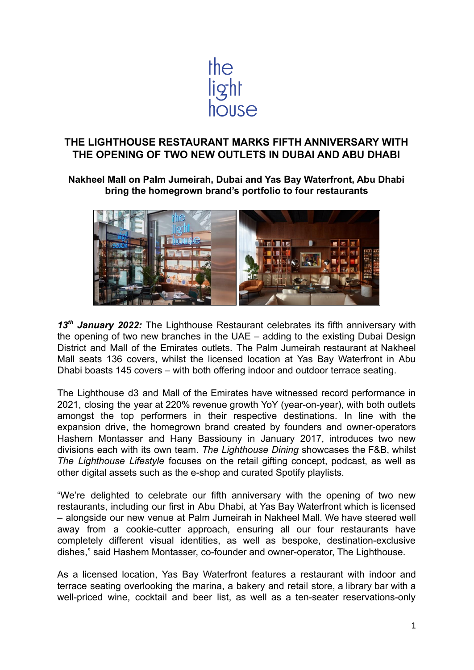

# **THE LIGHTHOUSE RESTAURANT MARKS FIFTH ANNIVERSARY WITH THE OPENING OF TWO NEW OUTLETS IN DUBAI AND ABU DHABI**

**Nakheel Mall on Palm Jumeirah, Dubai and Yas Bay Waterfront, Abu Dhabi bring the homegrown brand's portfolio to four restaurants**



*13th January 2022:* The Lighthouse Restaurant celebrates its fifth anniversary with the opening of two new branches in the UAE – adding to the existing Dubai Design District and Mall of the Emirates outlets. The Palm Jumeirah restaurant at Nakheel Mall seats 136 covers, whilst the licensed location at Yas Bay Waterfront in Abu Dhabi boasts 145 covers – with both offering indoor and outdoor terrace seating.

The Lighthouse d3 and Mall of the Emirates have witnessed record performance in 2021, closing the year at 220% revenue growth YoY (year-on-year), with both outlets amongst the top performers in their respective destinations. In line with the expansion drive, the homegrown brand created by founders and owner-operators Hashem Montasser and Hany Bassiouny in January 2017, introduces two new divisions each with its own team. *The Lighthouse Dining* showcases the F&B, whilst *The Lighthouse Lifestyle* focuses on the retail gifting concept, podcast, as well as other digital assets such as the e-shop and curated Spotify playlists.

"We're delighted to celebrate our fifth anniversary with the opening of two new restaurants, including our first in Abu Dhabi, at Yas Bay Waterfront which is licensed – alongside our new venue at Palm Jumeirah in Nakheel Mall. We have steered well away from a cookie-cutter approach, ensuring all our four restaurants have completely different visual identities, as well as bespoke, destination-exclusive dishes," said Hashem Montasser, co-founder and owner-operator, The Lighthouse.

As a licensed location, Yas Bay Waterfront features a restaurant with indoor and terrace seating overlooking the marina, a bakery and retail store, a library bar with a well-priced wine, cocktail and beer list, as well as a ten-seater reservations-only